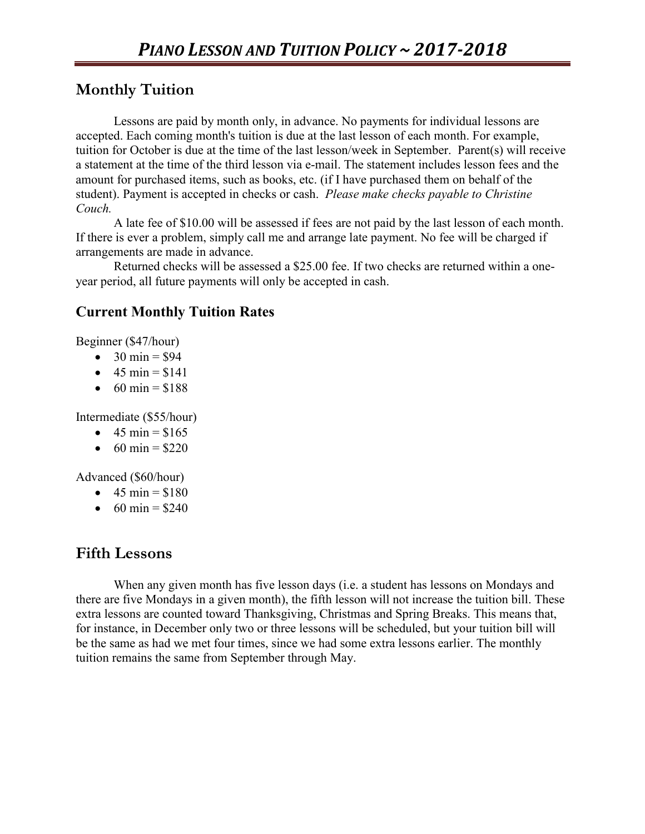# **Monthly Tuition**

Lessons are paid by month only, in advance. No payments for individual lessons are accepted. Each coming month's tuition is due at the last lesson of each month. For example, tuition for October is due at the time of the last lesson/week in September. Parent(s) will receive a statement at the time of the third lesson via e-mail. The statement includes lesson fees and the amount for purchased items, such as books, etc. (if I have purchased them on behalf of the student). Payment is accepted in checks or cash. *Please make checks payable to Christine Couch.*

A late fee of \$10.00 will be assessed if fees are not paid by the last lesson of each month. If there is ever a problem, simply call me and arrange late payment. No fee will be charged if arrangements are made in advance.

Returned checks will be assessed a \$25.00 fee. If two checks are returned within a oneyear period, all future payments will only be accepted in cash.

#### **Current Monthly Tuition Rates**

Beginner (\$47/hour)

- $\bullet$  30 min = \$94
- $-45 \text{ min} = $141$
- $60 \text{ min} = $188$

Intermediate (\$55/hour)

- $45 \text{ min} = $165$
- $60 \text{ min} = $220$

Advanced (\$60/hour)

- $\bullet$  45 min = \$180
- $60 \text{ min} = $240$

### **Fifth Lessons**

When any given month has five lesson days (i.e. a student has lessons on Mondays and there are five Mondays in a given month), the fifth lesson will not increase the tuition bill. These extra lessons are counted toward Thanksgiving, Christmas and Spring Breaks. This means that, for instance, in December only two or three lessons will be scheduled, but your tuition bill will be the same as had we met four times, since we had some extra lessons earlier. The monthly tuition remains the same from September through May.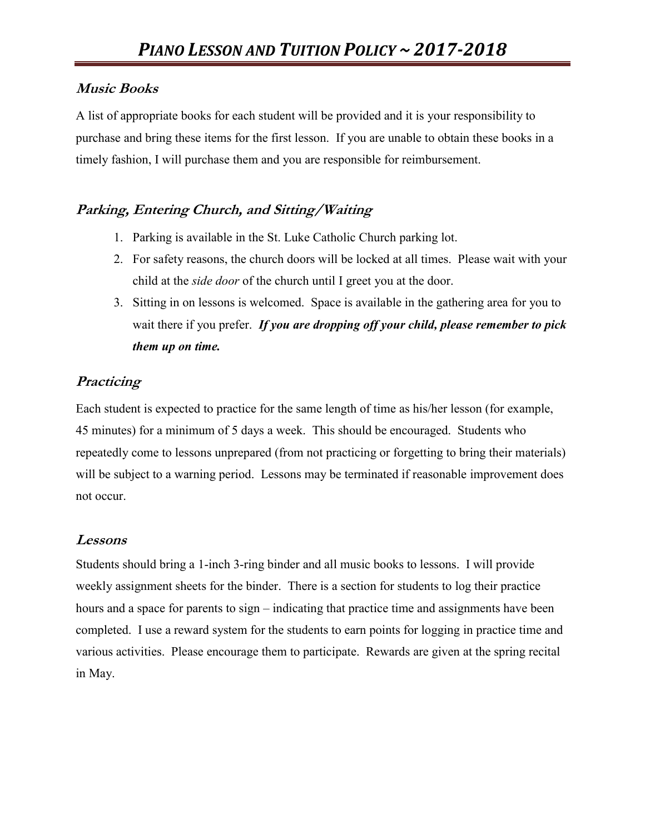#### **Music Books**

A list of appropriate books for each student will be provided and it is your responsibility to purchase and bring these items for the first lesson. If you are unable to obtain these books in a timely fashion, I will purchase them and you are responsible for reimbursement.

# **Parking, Entering Church, and Sitting/Waiting**

- 1. Parking is available in the St. Luke Catholic Church parking lot.
- 2. For safety reasons, the church doors will be locked at all times. Please wait with your child at the *side door* of the church until I greet you at the door.
- 3. Sitting in on lessons is welcomed. Space is available in the gathering area for you to wait there if you prefer. *If you are dropping off your child, please remember to pick them up on time.*

### **Practicing**

Each student is expected to practice for the same length of time as his/her lesson (for example, 45 minutes) for a minimum of 5 days a week. This should be encouraged. Students who repeatedly come to lessons unprepared (from not practicing or forgetting to bring their materials) will be subject to a warning period. Lessons may be terminated if reasonable improvement does not occur.

#### **Lessons**

Students should bring a 1-inch 3-ring binder and all music books to lessons. I will provide weekly assignment sheets for the binder. There is a section for students to log their practice hours and a space for parents to sign – indicating that practice time and assignments have been completed. I use a reward system for the students to earn points for logging in practice time and various activities. Please encourage them to participate. Rewards are given at the spring recital in May.